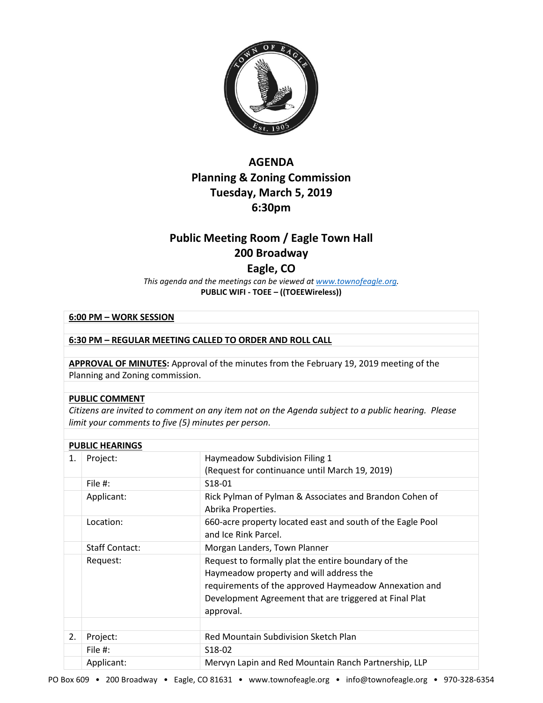

# **AGENDA Planning & Zoning Commission Tuesday, March 5, 2019 6:30pm**

# **Public Meeting Room / Eagle Town Hall 200 Broadway**

# **Eagle, CO**

*This agenda and the meetings can be viewed a[t www.townofeagle.org.](http://www.townofeagle.org/)*  **PUBLIC WIFI - TOEE – ((TOEEWireless))**

## **6:00 PM – WORK SESSION**

### **6:30 PM – REGULAR MEETING CALLED TO ORDER AND ROLL CALL**

**APPROVAL OF MINUTES:** Approval of the minutes from the February 19, 2019 meeting of the Planning and Zoning commission.

#### **PUBLIC COMMENT**

*Citizens are invited to comment on any item not on the Agenda subject to a public hearing. Please limit your comments to five (5) minutes per person*.

| <b>PUBLIC HEARINGS</b> |                       |                                                                                                                                                                                                                                |  |
|------------------------|-----------------------|--------------------------------------------------------------------------------------------------------------------------------------------------------------------------------------------------------------------------------|--|
| 1.                     | Project:              | Haymeadow Subdivision Filing 1<br>(Request for continuance until March 19, 2019)                                                                                                                                               |  |
|                        | File #:               | S <sub>18</sub> -01                                                                                                                                                                                                            |  |
|                        | Applicant:            | Rick Pylman of Pylman & Associates and Brandon Cohen of<br>Abrika Properties.                                                                                                                                                  |  |
|                        | Location:             | 660-acre property located east and south of the Eagle Pool<br>and Ice Rink Parcel.                                                                                                                                             |  |
|                        | <b>Staff Contact:</b> | Morgan Landers, Town Planner                                                                                                                                                                                                   |  |
|                        | Request:              | Request to formally plat the entire boundary of the<br>Haymeadow property and will address the<br>requirements of the approved Haymeadow Annexation and<br>Development Agreement that are triggered at Final Plat<br>approval. |  |
|                        |                       |                                                                                                                                                                                                                                |  |
| 2.                     | Project:              | Red Mountain Subdivision Sketch Plan                                                                                                                                                                                           |  |
|                        | File #:               | S <sub>18</sub> -02                                                                                                                                                                                                            |  |
|                        | Applicant:            | Mervyn Lapin and Red Mountain Ranch Partnership, LLP                                                                                                                                                                           |  |